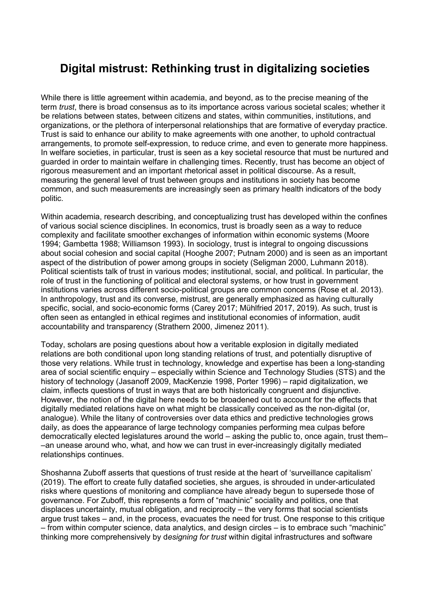## **Digital mistrust: Rethinking trust in digitalizing societies**

While there is little agreement within academia, and beyond, as to the precise meaning of the term *trust*, there is broad consensus as to its importance across various societal scales; whether it be relations between states, between citizens and states, within communities, institutions, and organizations, or the plethora of interpersonal relationships that are formative of everyday practice. Trust is said to enhance our ability to make agreements with one another, to uphold contractual arrangements, to promote self-expression, to reduce crime, and even to generate more happiness. In welfare societies, in particular, trust is seen as a key societal resource that must be nurtured and guarded in order to maintain welfare in challenging times. Recently, trust has become an object of rigorous measurement and an important rhetorical asset in political discourse. As a result, measuring the general level of trust between groups and institutions in society has become common, and such measurements are increasingly seen as primary health indicators of the body politic.

Within academia, research describing, and conceptualizing trust has developed within the confines of various social science disciplines. In economics, trust is broadly seen as a way to reduce complexity and facilitate smoother exchanges of information within economic systems (Moore 1994; Gambetta 1988; Williamson 1993). In sociology, trust is integral to ongoing discussions about social cohesion and social capital (Hooghe 2007; Putnam 2000) and is seen as an important aspect of the distribution of power among groups in society (Seligman 2000, Luhmann 2018). Political scientists talk of trust in various modes; institutional, social, and political. In particular, the role of trust in the functioning of political and electoral systems, or how trust in government institutions varies across different socio-political groups are common concerns (Rose et al. 2013). In anthropology, trust and its converse, mistrust, are generally emphasized as having culturally specific, social, and socio-economic forms (Carey 2017; Mühlfried 2017, 2019). As such, trust is often seen as entangled in ethical regimes and institutional economies of information, audit accountability and transparency (Strathern 2000, Jimenez 2011).

Today, scholars are posing questions about how a veritable explosion in digitally mediated relations are both conditional upon long standing relations of trust, and potentially disruptive of those very relations. While trust in technology, knowledge and expertise has been a long-standing area of social scientific enquiry – especially within Science and Technology Studies (STS) and the history of technology (Jasanoff 2009, MacKenzie 1998, Porter 1996) – rapid digitalization, we claim, inflects questions of trust in ways that are both historically congruent and disjunctive. However, the notion of the digital here needs to be broadened out to account for the effects that digitally mediated relations have on what might be classically conceived as the non-digital (or, analogue). While the litany of controversies over data ethics and predictive technologies grows daily, as does the appearance of large technology companies performing mea culpas before democratically elected legislatures around the world – asking the public to, once again, trust them– –an unease around who, what, and how we can trust in ever-increasingly digitally mediated relationships continues.

Shoshanna Zuboff asserts that questions of trust reside at the heart of 'surveillance capitalism' (2019). The effort to create fully datafied societies, she argues, is shrouded in under-articulated risks where questions of monitoring and compliance have already begun to supersede those of governance. For Zuboff, this represents a form of "machinic" sociality and politics, one that displaces uncertainty, mutual obligation, and reciprocity – the very forms that social scientists argue trust takes – and, in the process, evacuates the need for trust. One response to this critique – from within computer science, data analytics, and design circles – is to embrace such "machinic" thinking more comprehensively by d*esigning for trust* within digital infrastructures and software